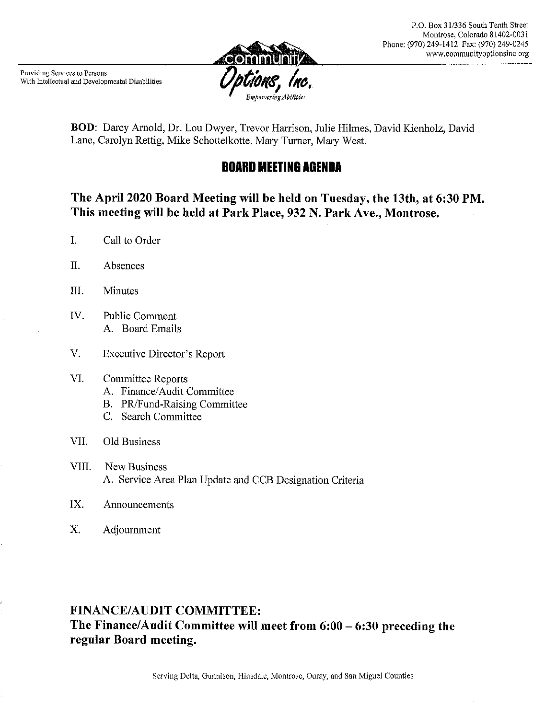

BOD: Darcy Arnold, Dr. Lou Dwyer, Trevor Harrison, Julie Hilmes, David Kienholz, David Lane, Carolyn Rettig, Mike Schottelkotte, Mary Turner, Mary West.

# **BOARD MEETING AGENDA**

## The April 2020 Board Meeting will be held on Tuesday, the 13th, at 6:30 PM. This meeting will be held at Park Place, 932 N. Park Ave., Montrose.

- $\mathbf{I}$ . Call to Order
- $II.$ Absences
- III. **Minutes**
- IV. Public Comment A. Board Emails
- V. Executive Director's Report

#### VI. Committee Reports

- A. Finance/Audit Committee
- B. PR/Fund-Raising Committee
- C. Search Committee

#### VII. Old Business

- VIII. **New Business** A. Service Area Plan Update and CCB Designation Criteria
- IX. Announcements
- X. Adjournment

# **FINANCE/AUDIT COMMITTEE:** The Finance/Audit Committee will meet from  $6:00 - 6:30$  preceding the regular Board meeting.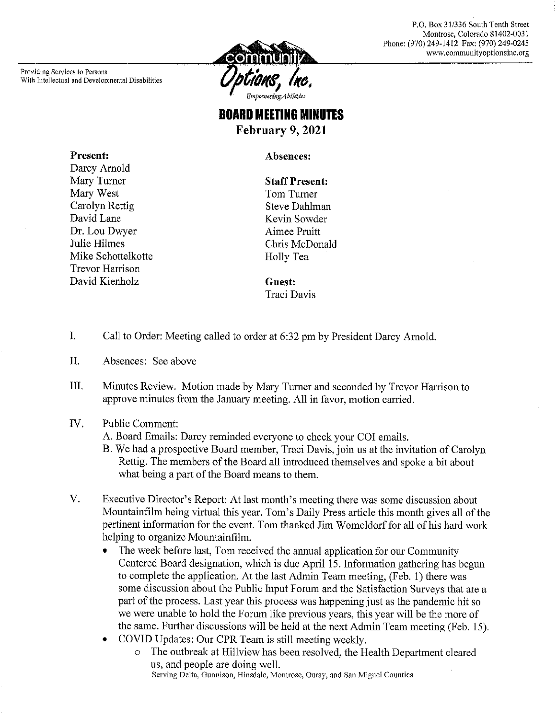P.O. Box 31/336 South Tenth Street Montrose, Colorado 81402-0031 Phone: (970) 249-1412 Fax: (970) 249-0245 www.communityoptionsine.org

Providing Services to Persons With Intellectual and Developmental Disabilities



# **BOARD MEETING MINUTES** February 9, 2021

Absences:

**Present:** Darcy Arnold Mary Turner Mary West Carolyn Rettig David Lane Dr. Lou Dwyer Julie Hilmes Mike Schottelkotte **Trevor Harrison** David Kienholz

**Staff Present:** Tom Turner **Steve Dahlman** Kevin Sowder Aimee Pruitt Chris McDonald Holly Tea

**Guest:** Traci Davis

- I. Call to Order: Meeting called to order at 6:32 pm by President Darcy Arnold.
- II. Absences: See above
- III. Minutes Review. Motion made by Mary Turner and seconded by Trevor Harrison to approve minutes from the January meeting. All in favor, motion carried.
- IV. **Public Comment:** 
	- A. Board Emails: Darcy reminded everyone to check your COI emails.
	- B. We had a prospective Board member, Traci Davis, join us at the invitation of Carolyn Rettig. The members of the Board all introduced themselves and spoke a bit about what being a part of the Board means to them.
- V. Executive Director's Report: At last month's meeting there was some discussion about Mountainfilm being virtual this year. Tom's Daily Press article this month gives all of the pertinent information for the event. Tom thanked Jim Womeldorf for all of his hard work helping to organize Mountainfilm.
	- The week before last, Tom received the annual application for our Community Centered Board designation, which is due April 15. Information gathering has begun to complete the application. At the last Admin Team meeting, (Feb. 1) there was some discussion about the Public Input Forum and the Satisfaction Surveys that are a part of the process. Last year this process was happening just as the pandemic hit so we were unable to hold the Forum like previous years, this year will be the more of the same. Further discussions will be held at the next Admin Team meeting (Feb. 15).
	- COVID Updates: Our CPR Team is still meeting weekly.  $\bullet$ 
		- The outbreak at Hillview has been resolved, the Health Department cleared  $\circ$ us, and people are doing well. Serving Delta, Gunnison, Hinsdale, Montrose, Ouray, and San Miguel Counties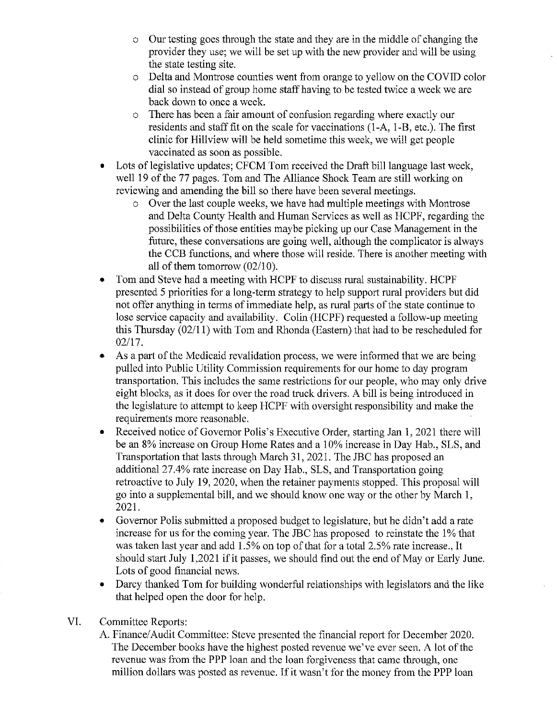- Our testing goes through the state and they are in the middle of changing the  $\circ$ provider they use; we will be set up with the new provider and will be using the state testing site.
- Delta and Montrose counties went from orange to vellow on the COVID color  $\circ$ dial so instead of group home staff having to be tested twice a week we are back down to once a week.
- There has been a fair amount of confusion regarding where exactly our  $\circ$ residents and staff fit on the scale for vaccinations (1-A, 1-B, etc.). The first clinic for Hillyiew will be held sometime this week, we will get people vaccinated as soon as possible.
- Lots of legislative updates; CFCM Tom received the Draft bill language last week, well 19 of the 77 pages. Tom and The Alliance Shock Team are still working on reviewing and amending the bill so there have been several meetings.
	- o Over the last couple weeks, we have had multiple meetings with Montrose and Delta County Health and Human Services as well as HCPF, regarding the possibilities of those entities maybe picking up our Case Management in the future, these conversations are going well, although the complicator is always the CCB functions, and where those will reside. There is another meeting with all of them tomorrow  $(02/10)$ .
- Tom and Steve had a meeting with HCPF to discuss rural sustainability. HCPF presented 5 priorities for a long-term strategy to help support rural providers but did not offer anything in terms of immediate help, as rural parts of the state continue to lose service capacity and availability. Colin (HCPF) requested a follow-up meeting this Thursday  $(02/11)$  with Tom and Rhonda (Eastern) that had to be rescheduled for  $02/17.$
- As a part of the Medicaid revalidation process, we were informed that we are being  $\bullet$ pulled into Public Utility Commission requirements for our home to day program transportation. This includes the same restrictions for our people, who may only drive eight blocks, as it does for over the road truck drivers. A bill is being introduced in the legislature to attempt to keep HCPF with oversight responsibility and make the requirements more reasonable.
- Received notice of Governor Polis's Executive Order, starting Jan 1, 2021 there will be an 8% increase on Group Home Rates and a 10% increase in Day Hab., SLS, and Transportation that lasts through March 31, 2021. The JBC has proposed an additional 27.4% rate increase on Day Hab., SLS, and Transportation going retroactive to July 19, 2020, when the retainer payments stopped. This proposal will go into a supplemental bill, and we should know one way or the other by March 1, 2021.
- Governor Polis submitted a proposed budget to legislature, but he didn't add a rate  $\bullet$ increase for us for the coming year. The JBC has proposed to reinstate the 1% that was taken last year and add 1.5% on top of that for a total 2.5% rate increase., It should start July 1,2021 if it passes, we should find out the end of May or Early June. Lots of good financial news.
- Darcy thanked Tom for building wonderful relationships with legislators and the like that helped open the door for help.
- VI. **Committee Reports:** 
	- A. Finance/Audit Committee: Steve presented the financial report for December 2020. The December books have the highest posted revenue we've ever seen. A lot of the revenue was from the PPP loan and the loan forgiveness that came through, one million dollars was posted as revenue. If it wasn't for the money from the PPP loan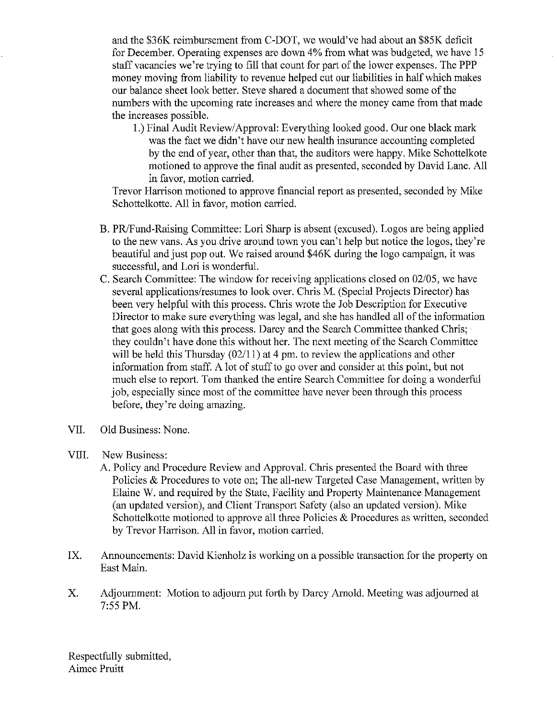and the \$36K reimbursement from C-DOT, we would've had about an \$85K deficit for December. Operating expenses are down 4% from what was budgeted, we have 15 staff vacancies we're trying to fill that count for part of the lower expenses. The PPP money moving from liability to revenue helped cut our liabilities in half which makes our balance sheet look better. Steve shared a document that showed some of the numbers with the upcoming rate increases and where the money came from that made the increases possible.

1.) Final Audit Review/Approval: Everything looked good. Our one black mark was the fact we didn't have our new health insurance accounting completed by the end of year, other than that, the auditors were happy. Mike Schottelkote motioned to approve the final audit as presented, seconded by David Lane. All in favor, motion carried.

Trevor Harrison motioned to approve financial report as presented, seconded by Mike Schottelkotte. All in favor, motion carried.

- B. PR/Fund-Raising Committee: Lori Sharp is absent (excused). Logos are being applied to the new vans. As you drive around town you can't help but notice the logos, they're beautiful and just pop out. We raised around \$46K during the logo campaign, it was successful, and Lori is wonderful.
- C. Search Committee: The window for receiving applications closed on 02/05, we have several applications/resumes to look over. Chris M. (Special Projects Director) has been very helpful with this process. Chris wrote the Job Description for Executive Director to make sure everything was legal, and she has handled all of the information that goes along with this process. Darcy and the Search Committee thanked Chris; they couldn't have done this without her. The next meeting of the Search Committee will be held this Thursday  $(02/11)$  at 4 pm, to review the applications and other information from staff. A lot of stuff to go over and consider at this point, but not much else to report. Tom thanked the entire Search Committee for doing a wonderful job, especially since most of the committee have never been through this process before, they're doing amazing.
- VII. Old Business: None.
- VIII. New Business:
	- A. Policy and Procedure Review and Approval. Chris presented the Board with three Policies & Procedures to vote on; The all-new Targeted Case Management, written by Elaine W. and required by the State, Facility and Property Maintenance Management (an updated version), and Client Transport Safety (also an updated version). Mike Schottelkotte motioned to approve all three Policies & Procedures as written, seconded by Trevor Harrison. All in favor, motion carried.
- Announcements: David Kienholz is working on a possible transaction for the property on IX. East Main.
- Adjournment: Motion to adjourn put forth by Darcy Arnold. Meeting was adjourned at X. 7:55 PM.

Respectfully submitted, Aimee Pruitt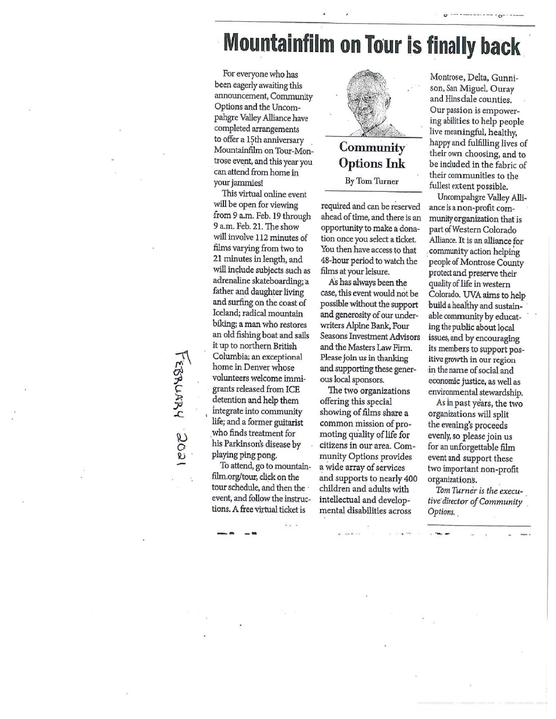# **Mountainfilm on Tour is finally back**

For everyone who has been eagerly awaiting this announcement, Community Options and the Uncompahgre Valley Alliance have completed arrangements to offer a 15th anniversary Mountainfilm on Tour-Montrose event, and this year you can attend from home in your jammies!

This virtual online event will be open for viewing from 9 a.m. Feb. 19 through 9 a.m. Feb. 21. The show will involve 112 minutes of films varying from two to 21 minutes in length, and will include subjects such as adrenaline skateboarding; a father and daughter living and surfing on the coast of Iceland; radical mountain biking; a man who restores an old fishing boat and sails it up to northern British Columbia; an exceptional home in Denver whose volunteers welcome immigrants released from ICE detention and help them integrate into community life; and a former guitarist who finds treatment for his Parkinson's disease by playing ping pong.

To attend, go to mountainfilm.org/tour, click on the tour schedule, and then the event, and follow the instructions. A free virtual ticket is



# **Community Options Ink** By Tom Turner

required and can be reserved ahead of time, and there is an opportunity to make a donation once you select a ticket. You then have access to that 48-hour period to watch the films at your leisure.

As has always been the case, this event would not be possible without the support and generosity of our underwriters Alpine Bank, Four Seasons Investment Advisors and the Masters Law Firm. Please join us in thanking and supporting these generous local sponsors.

The two organizations offering this special showing of films share a common mission of promoting quality of life for citizens in our area. Community Options provides a wide array of services and supports to nearly 400 children and adults with intellectual and developmental disabilities across

Montrose, Delta, Gunnison, San Miguel, Ouray and Hinsdale counties. Our passion is empowering abilities to help people live meaningful, healthy, happy and fulfilling lives of their own choosing, and to be included in the fabric of their communities to the fullest extent possible.

Uncompahgre Valley Alliance is a non-profit community organization that is part of Western Colorado Alliance. It is an alliance for community action helping people of Montrose County protect and preserve their quality of life in western Colorado. UVA aims to help build a healthy and sustainable community by educating the public about local issues, and by encouraging its members to support positive growth in our region in the name of social and economic justice, as well as environmental stewardship.

As in past years, the two organizations will split the evening's proceeds evenly, so please join us for an unforgettable film event and support these two important non-profit organizations.

Tom Turner is the executive director of Community Options.

ICOE HYMARI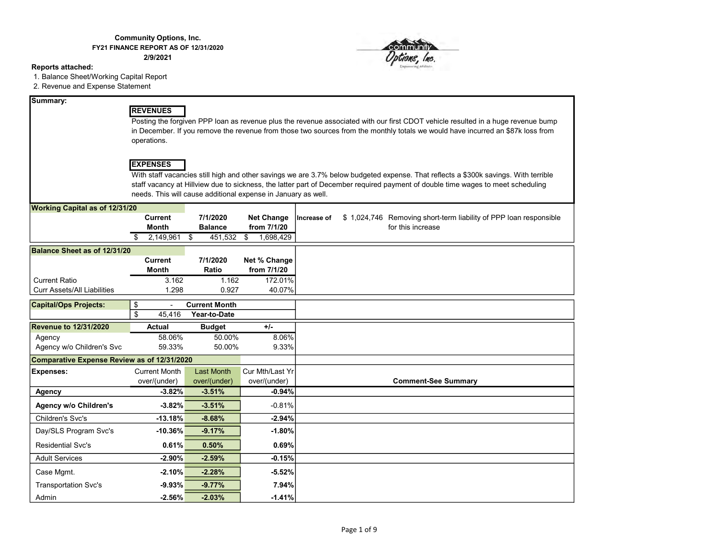#### Community Options, Inc. FY21 FINANCE REPORT AS OF 12/31/2020

2/9/2021

#### Reports attached:

1. Balance Sheet/Working Capital Report

2. Revenue and Expense Statement

#### Summary:

#### REVENUES

Posting the forgiven PPP loan as revenue plus the revenue associated with our first CDOT vehicle resulted in a huge revenue bump in December. If you remove the revenue from those two sources from the monthly totals we would have incurred an \$87k loss from operations.

#### **EXPENSES**

With staff vacancies still high and other savings we are 3.7% below budgeted expense. That reflects a \$300k savings. With terrible staff vacancy at Hillview due to sickness, the latter part of December required payment of double time wages to meet scheduling needs. This will cause additional expense in January as well.

| <b>Working Capital as of 12/31/20</b>       |                      |                      |                   |             |                                                                   |
|---------------------------------------------|----------------------|----------------------|-------------------|-------------|-------------------------------------------------------------------|
|                                             | <b>Current</b>       | 7/1/2020             | <b>Net Change</b> | Increase of | \$1,024,746 Removing short-term liability of PPP loan responsible |
|                                             | <b>Month</b>         | <b>Balance</b>       | from 7/1/20       |             | for this increase                                                 |
|                                             | 2,149,961            | \$<br>451,532        | \$<br>1,698,429   |             |                                                                   |
| Balance Sheet as of 12/31/20                |                      |                      |                   |             |                                                                   |
|                                             | <b>Current</b>       | 7/1/2020             | Net % Change      |             |                                                                   |
|                                             | <b>Month</b>         | Ratio                | from 7/1/20       |             |                                                                   |
| <b>Current Ratio</b>                        | 3.162                | 1.162                | 172.01%           |             |                                                                   |
| <b>Curr Assets/All Liabilities</b>          | 1.298                | 0.927                | 40.07%            |             |                                                                   |
|                                             |                      |                      |                   |             |                                                                   |
| <b>Capital/Ops Projects:</b>                | \$                   | <b>Current Month</b> |                   |             |                                                                   |
|                                             | \$<br>45,416         | Year-to-Date         |                   |             |                                                                   |
| <b>Revenue to 12/31/2020</b>                | <b>Actual</b>        | <b>Budget</b>        | $+/-$             |             |                                                                   |
| Agency                                      | 58.06%               | 50.00%               | 8.06%             |             |                                                                   |
| Agency w/o Children's Svc                   | 59.33%               | 50.00%               | 9.33%             |             |                                                                   |
| Comparative Expense Review as of 12/31/2020 |                      |                      |                   |             |                                                                   |
| <b>Expenses:</b>                            | <b>Current Month</b> | <b>Last Month</b>    | Cur Mth/Last Yr   |             |                                                                   |
|                                             | over/(under)         | over/(under)         | over/(under)      |             | <b>Comment-See Summary</b>                                        |
| <b>Agency</b>                               | $-3.82%$             | $-3.51%$             | $-0.94%$          |             |                                                                   |
| <b>Agency w/o Children's</b>                | $-3.82%$             | $-3.51%$             | $-0.81%$          |             |                                                                   |
| Children's Svc's                            | $-13.18%$            | $-8.68%$             | $-2.94%$          |             |                                                                   |
| Day/SLS Program Svc's                       | $-10.36%$            | $-9.17%$             | $-1.80%$          |             |                                                                   |
| <b>Residential Svc's</b>                    | 0.61%                | 0.50%                | 0.69%             |             |                                                                   |
| <b>Adult Services</b>                       | $-2.90%$             | $-2.59%$             | $-0.15%$          |             |                                                                   |
| Case Mgmt.                                  | $-2.10%$             | $-2.28%$             | $-5.52%$          |             |                                                                   |
| <b>Transportation Svc's</b>                 | $-9.93%$             | $-9.77%$             | 7.94%             |             |                                                                   |
| Admin                                       | $-2.56%$             | $-2.03%$             | $-1.41%$          |             |                                                                   |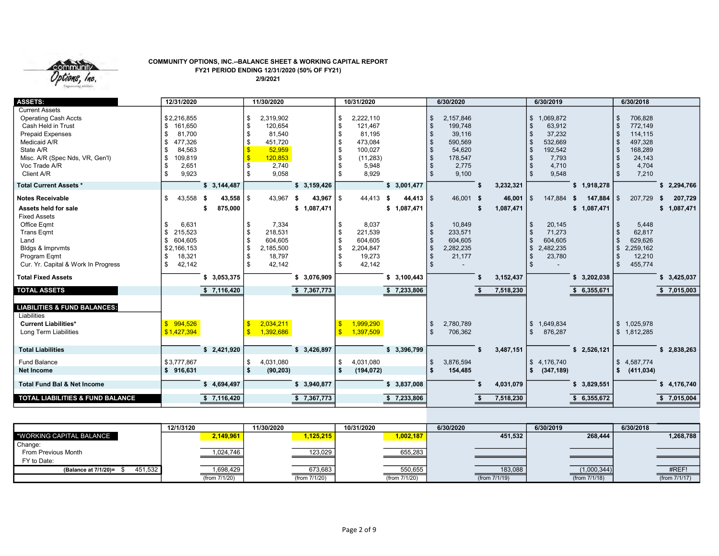

#### COMMUNITY OPTIONS, INC.--BALANCE SHEET & WORKING CAPITAL REPORT FY21 PERIOD ENDING 12/31/2020 (50% OF FY21) 2/9/2021

| <b>ASSETS:</b>                                                                                                                                                                                       | 12/31/2020                                                                                     |                                        | 11/30/2020                                                                                         |                                             | 10/31/2020                                                                                              |                                      | 6/30/2020                                                                              |                            | 6/30/2019                                                                              | 6/30/2018                                                                       |
|------------------------------------------------------------------------------------------------------------------------------------------------------------------------------------------------------|------------------------------------------------------------------------------------------------|----------------------------------------|----------------------------------------------------------------------------------------------------|---------------------------------------------|---------------------------------------------------------------------------------------------------------|--------------------------------------|----------------------------------------------------------------------------------------|----------------------------|----------------------------------------------------------------------------------------|---------------------------------------------------------------------------------|
| <b>Current Assets</b><br><b>Operating Cash Accts</b><br>Cash Held in Trust<br><b>Prepaid Expenses</b><br>Medicaid A/R<br>State A/R<br>Misc. A/R (Spec Nds, VR, Gen'l)<br>Voc Trade A/R<br>Client A/R | \$2,216,855<br>161,650<br>\$<br>81.700<br>477,326<br>\$<br>84,563<br>109,819<br>2,651<br>9,923 |                                        | 2,319,902<br>\$<br>120.654<br>\$<br>81,540<br>451,720<br>\$<br>52,959<br>120,853<br>2,740<br>9,058 |                                             | 2,222,110<br>\$<br>121.467<br>\$<br>81,195<br>473,084<br>100,027<br>- \$<br>(11, 283)<br>5,948<br>8,929 |                                      | 2,157,846<br>\$<br>199,748<br>39,116<br>590,569<br>54,620<br>178,547<br>2,775<br>9,100 |                            | \$1,069,872<br>63,912<br>37,232<br>532,669<br>\$<br>192,542<br>7,793<br>4,710<br>9,548 | 706,828<br>772,149<br>114,115<br>497,328<br>168,289<br>24,143<br>4,704<br>7,210 |
| <b>Total Current Assets *</b>                                                                                                                                                                        |                                                                                                | \$3,144,487                            |                                                                                                    | \$3,159,426                                 |                                                                                                         | \$3,001,477                          |                                                                                        | 3,232,321                  | \$1,918,278                                                                            | \$2,294,766                                                                     |
| <b>Notes Receivable</b><br>Assets held for sale                                                                                                                                                      | 43,558<br>\$                                                                                   | $43,558$ \ \$<br>- \$<br>875,000<br>£. | 43,967                                                                                             | 43,967 $\frac{1}{3}$<br>- \$<br>\$1,087,471 | 44,413                                                                                                  | $44,413$ \ \$<br>- \$<br>\$1,087,471 | 46,001 \$                                                                              | 46,001<br>1,087,471<br>-\$ | $\sqrt{3}$<br>147,884<br>147,884<br>- \$<br>\$1,087,471                                | 207,729<br>207,729<br>l \$<br>- 56<br>\$1,087,471                               |
| <b>Fixed Assets</b><br>Office Eqmt<br><b>Trans Eqmt</b><br>Land<br>Bldgs & Imprvmts<br>Program Eqmt<br>Cur. Yr. Capital & Work In Progress                                                           | 6,631<br>215,523<br>604,605<br>\$2,166,153<br>18,321<br>42,142                                 |                                        | 7,334<br>\$<br>218,531<br>\$<br>604,605<br>\$<br>\$<br>2,185,500<br>18,797<br>42,142               |                                             | 8,037<br>\$<br>221,539<br>- 35<br>604,605<br>\$<br>2,204,847<br>\$<br>19,273<br>42,142                  |                                      | 10,849<br>\$<br>233,571<br>604,605<br>2,282,235<br>21,177                              |                            | 20,145<br>71,273<br>\$<br>604,605<br>S.<br>2,482,235<br>\$<br>23,780                   | 5,448<br>62,817<br>629,626<br>2,259,162<br>\$<br>12,210<br>455,774<br>\$        |
| <b>Total Fixed Assets</b>                                                                                                                                                                            |                                                                                                | \$3,053,375                            |                                                                                                    | \$3,076,909                                 |                                                                                                         | \$3,100,443                          |                                                                                        | 3,152,437                  | \$3,202,038                                                                            | \$3,425,037                                                                     |
| <b>TOTAL ASSETS</b>                                                                                                                                                                                  |                                                                                                | \$7,116,420                            |                                                                                                    | \$7,367,773                                 |                                                                                                         | \$7,233,806                          |                                                                                        | 7,518,230                  | \$6,355,671                                                                            | \$7,015,003                                                                     |
| <b>LIABILITIES &amp; FUND BALANCES:</b><br>Liabilities<br><b>Current Liabilities*</b><br>Long Term Liabilities                                                                                       | \$994,526<br>\$1,427,394                                                                       |                                        | 2,034,211<br>1,392,686                                                                             |                                             | 1,999,290<br>1,397,509                                                                                  |                                      | 2,780,789<br>\$<br>706,362                                                             |                            | \$1,649,834<br>876,287<br>\$                                                           | \$1,025,978<br>\$1,812,285                                                      |
| <b>Total Liabilities</b>                                                                                                                                                                             |                                                                                                | \$2,421,920                            |                                                                                                    | \$3,426,897                                 |                                                                                                         | \$3,396,799                          |                                                                                        | 3,487,151                  | \$2,526,121                                                                            | \$2,838,263                                                                     |
| <b>Fund Balance</b><br><b>Net Income</b>                                                                                                                                                             | \$3,777,867<br>916,631                                                                         |                                        | 4,031,080<br>\$<br>-\$<br>(90, 203)                                                                |                                             | 4,031,080<br>\$<br>  \$<br>(194, 072)                                                                   |                                      | 3,876,594<br>\$<br>154,485<br>- \$                                                     |                            | \$4,176,740<br>(347, 189)<br>\$                                                        | \$4,587,774<br>(411, 034)<br>Ŝ.                                                 |
| <b>Total Fund Bal &amp; Net Income</b>                                                                                                                                                               |                                                                                                | \$4,694,497                            |                                                                                                    | \$3,940,877                                 |                                                                                                         | \$3,837,008                          |                                                                                        | 4,031,079                  | \$3,829,551                                                                            | \$4,176,740                                                                     |
| TOTAL LIABILITIES & FUND BALANCE                                                                                                                                                                     |                                                                                                | \$7,116,420                            |                                                                                                    | \$7,367,773                                 |                                                                                                         | \$7,233,806                          |                                                                                        | 7,518,230                  | 6,355,672                                                                              | $\sqrt{5}$ 7,015,004                                                            |

|                                 | 12/1/3120     | 11/30/2020    | 10/31/2020    | 6/30/2020     | 6/30/2019     | 6/30/2018     |
|---------------------------------|---------------|---------------|---------------|---------------|---------------|---------------|
| <b>WORKING CAPITAL BALANCE</b>  | 2,149,961     | 1,125,215     | 1,002,187     | 451,532       | 268,444       | 1,268,788     |
| Change:                         |               |               |               |               |               |               |
| From Previous Month             | 1,024,746     | 123,029       | 655,283       |               |               |               |
| FY to Date:                     |               |               |               |               |               |               |
| 451,532<br>(Balance at 7/1/20)= | 1,698,429     | 673,683       | 550,655       | 183,088       | (1,000,344)   | #REF!         |
|                                 | (from 7/1/20) | (from 7/1/20) | (from 7/1/20) | (from 7/1/19) | (from 7/1/18) | (from 7/1/17) |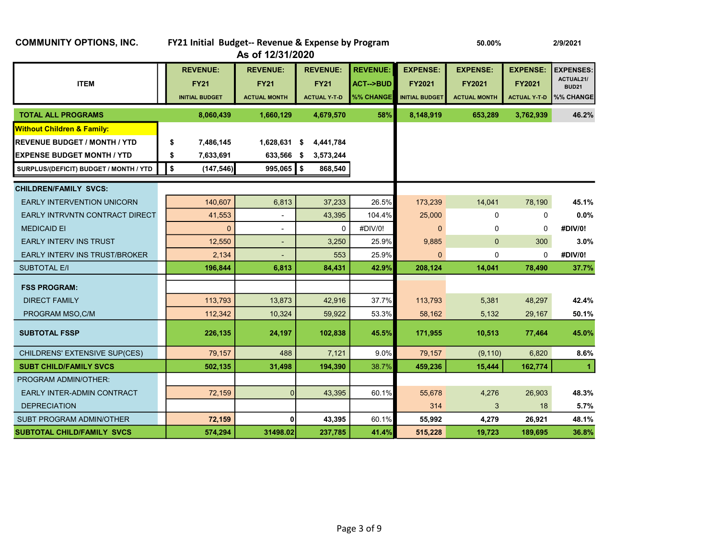| <b>COMMUNITY OPTIONS, INC.</b>         | FY21 Initial Budget-- Revenue & Expense by Program      | As of 12/31/2020                                      |      |                                                       |                                                            |                                                           |                                                  | 2/9/2021                                         |                                                            |
|----------------------------------------|---------------------------------------------------------|-------------------------------------------------------|------|-------------------------------------------------------|------------------------------------------------------------|-----------------------------------------------------------|--------------------------------------------------|--------------------------------------------------|------------------------------------------------------------|
| <b>ITEM</b>                            | <b>REVENUE:</b><br><b>FY21</b><br><b>INITIAL BUDGET</b> | <b>REVENUE:</b><br><b>FY21</b><br><b>ACTUAL MONTH</b> |      | <b>REVENUE:</b><br><b>FY21</b><br><b>ACTUAL Y T D</b> | <b>REVENUE:</b><br><b>ACT--&gt;BUD</b><br><b>%% CHANGE</b> | <b>EXPENSE:</b><br><b>FY2021</b><br><b>INITIAL BUDGET</b> | <b>EXPENSE:</b><br>FY2021<br><b>ACTUAL MONTH</b> | <b>EXPENSE:</b><br>FY2021<br><b>ACTUAL Y T-D</b> | <b>EXPENSES:</b><br>ACTUAL21/<br><b>BUD21</b><br>%% CHANGE |
| <b>TOTAL ALL PROGRAMS</b>              | 8,060,439                                               | 1,660,129                                             |      | 4,679,570                                             | 58%                                                        | 8,148,919                                                 | 653,289                                          | 3,762,939                                        | 46.2%                                                      |
| <b>Without Children &amp; Family:</b>  |                                                         |                                                       |      |                                                       |                                                            |                                                           |                                                  |                                                  |                                                            |
| <b>REVENUE BUDGET / MONTH / YTD</b>    | \$<br>7,486,145                                         | 1,628,631 \$                                          |      | 4,441,784                                             |                                                            |                                                           |                                                  |                                                  |                                                            |
| <b>EXPENSE BUDGET MONTH / YTD</b>      | \$<br>7,633,691                                         | 633,566                                               | - \$ | 3,573,244                                             |                                                            |                                                           |                                                  |                                                  |                                                            |
| SURPLUS/(DEFICIT) BUDGET / MONTH / YTD | \$<br>(147, 546)                                        | 995,065                                               | 5    | 868,540                                               |                                                            |                                                           |                                                  |                                                  |                                                            |
| <b>CHILDREN/FAMILY SVCS:</b>           |                                                         |                                                       |      |                                                       |                                                            |                                                           |                                                  |                                                  |                                                            |
| <b>EARLY INTERVENTION UNICORN</b>      | 140,607                                                 | 6,813                                                 |      | 37,233                                                | 26.5%                                                      | 173,239                                                   | 14,041                                           | 78,190                                           | 45.1%                                                      |
| EARLY INTRVNTN CONTRACT DIRECT         | 41,553                                                  | $\blacksquare$                                        |      | 43,395                                                | 104.4%                                                     | 25,000                                                    | 0                                                | $\mathbf 0$                                      | 0.0%                                                       |
| <b>MEDICAID EI</b>                     | $\overline{0}$                                          |                                                       |      | $\mathbf 0$                                           | #DIV/0!                                                    | $\mathbf{0}$                                              | 0                                                | $\mathbf 0$                                      | #DIV/0!                                                    |
| <b>EARLY INTERV INS TRUST</b>          | 12,550                                                  | ٠                                                     |      | 3,250                                                 | 25.9%                                                      | 9,885                                                     | $\mathbf{0}$                                     | 300                                              | $3.0\%$                                                    |
| EARLY INTERV INS TRUST/BROKER          | 2,134                                                   |                                                       |      | 553                                                   | 25.9%                                                      | $\Omega$                                                  | 0                                                | $\Omega$                                         | #DIV/0!                                                    |
| <b>SUBTOTAL E/I</b>                    | 196,844                                                 | 6,813                                                 |      | 84,431                                                | 42.9%                                                      | 208,124                                                   | 14,041                                           | 78,490                                           | 37.7%                                                      |
| <b>FSS PROGRAM:</b>                    |                                                         |                                                       |      |                                                       |                                                            |                                                           |                                                  |                                                  |                                                            |
| <b>DIRECT FAMILY</b>                   | 113,793                                                 | 13,873                                                |      | 42,916                                                | 37.7%                                                      | 113,793                                                   | 5,381                                            | 48,297                                           | 42.4%                                                      |
| PROGRAM MSO, C/M                       | 112,342                                                 | 10,324                                                |      | 59,922                                                | 53.3%                                                      | 58,162                                                    | 5,132                                            | 29,167                                           | 50.1%                                                      |
| <b>SUBTOTAL FSSP</b>                   | 226,135                                                 | 24,197                                                |      | 102,838                                               | 45.5%                                                      | 171,955                                                   | 10,513                                           | 77,464                                           | 45.0%                                                      |
| CHILDRENS' EXTENSIVE SUP(CES)          | 79.157                                                  | 488                                                   |      | 7,121                                                 | 9.0%                                                       | 79,157                                                    | (9, 110)                                         | 6,820                                            | 8.6%                                                       |
| <b>SUBT CHILD/FAMILY SVCS</b>          | 502,135                                                 | 31,498                                                |      | 194,390                                               | 38.7%                                                      | 459,236                                                   | 15,444                                           | 162,774                                          | $\blacktriangleleft$                                       |
| <b>PROGRAM ADMIN/OTHER:</b>            |                                                         |                                                       |      |                                                       |                                                            |                                                           |                                                  |                                                  |                                                            |
| EARLY INTER-ADMIN CONTRACT             | 72,159                                                  | $\Omega$                                              |      | 43,395                                                | 60.1%                                                      | 55,678                                                    | 4,276                                            | 26,903                                           | 48.3%                                                      |
| <b>DEPRECIATION</b>                    |                                                         |                                                       |      |                                                       |                                                            | 314                                                       | 3                                                | 18                                               | 5.7%                                                       |
| SUBT PROGRAM ADMIN/OTHER               | 72,159                                                  | 0                                                     |      | 43,395                                                | 60.1%                                                      | 55,992                                                    | 4,279                                            | 26,921                                           | 48.1%                                                      |
| SUBTOTAL CHILD/FAMILY SVCS             | 574,294                                                 | 31498.02                                              |      | 237,785                                               | 41.4%                                                      | 515,228                                                   | 19,723                                           | 189,695                                          | 36.8%                                                      |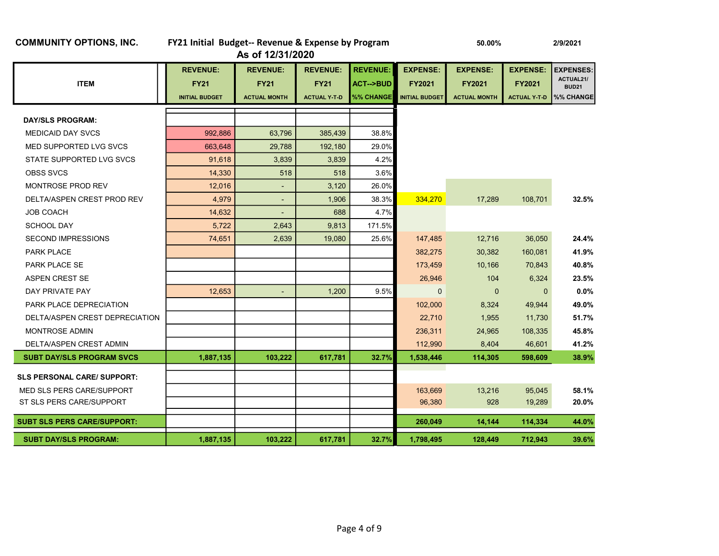| <b>REVENUE:</b>                                     |           | <b>REVENUE:</b>                    | <b>REVENUE:</b>                    |                                                     |                                                           |                                                         |                                                  |                                                            |
|-----------------------------------------------------|-----------|------------------------------------|------------------------------------|-----------------------------------------------------|-----------------------------------------------------------|---------------------------------------------------------|--------------------------------------------------|------------------------------------------------------------|
| <b>ITEM</b><br><b>FY21</b><br><b>INITIAL BUDGET</b> |           | <b>FY21</b><br><b>ACTUAL MONTH</b> | <b>FY21</b><br><b>ACTUAL Y T D</b> | <b>REVENUE:</b><br><b>ACT--&gt;BUD</b><br>%% CHANGE | <b>EXPENSE:</b><br><b>FY2021</b><br><b>INITIAL BUDGET</b> | <b>EXPENSE:</b><br><b>FY2021</b><br><b>ACTUAL MONTH</b> | <b>EXPENSE:</b><br>FY2021<br><b>ACTUAL Y T D</b> | <b>EXPENSES:</b><br>ACTUAL21/<br><b>BUD21</b><br>%% CHANGE |
| <b>DAY/SLS PROGRAM:</b>                             |           |                                    |                                    |                                                     |                                                           |                                                         |                                                  |                                                            |
| <b>MEDICAID DAY SVCS</b>                            | 992,886   | 63,796                             | 385,439                            | 38.8%                                               |                                                           |                                                         |                                                  |                                                            |
| MED SUPPORTED LVG SVCS                              | 663,648   | 29,788                             | 192,180                            | 29.0%                                               |                                                           |                                                         |                                                  |                                                            |
| STATE SUPPORTED LVG SVCS                            | 91,618    | 3,839                              | 3,839                              | 4.2%                                                |                                                           |                                                         |                                                  |                                                            |
| <b>OBSS SVCS</b>                                    | 14,330    | 518                                | 518                                | 3.6%                                                |                                                           |                                                         |                                                  |                                                            |
| <b>MONTROSE PROD REV</b>                            | 12,016    | $\overline{\phantom{a}}$           | 3,120                              | 26.0%                                               |                                                           |                                                         |                                                  |                                                            |
| DELTA/ASPEN CREST PROD REV                          | 4.979     | $\blacksquare$                     | 1.906                              | 38.3%                                               | 334,270                                                   | 17,289                                                  | 108,701                                          | 32.5%                                                      |
| <b>JOB COACH</b>                                    | 14,632    | ٠                                  | 688                                | 4.7%                                                |                                                           |                                                         |                                                  |                                                            |
| <b>SCHOOL DAY</b>                                   | 5,722     | 2,643                              | 9,813                              | 171.5%                                              |                                                           |                                                         |                                                  |                                                            |
| <b>SECOND IMPRESSIONS</b>                           | 74,651    | 2,639                              | 19,080                             | 25.6%                                               | 147,485                                                   | 12,716                                                  | 36,050                                           | 24.4%                                                      |
| <b>PARK PLACE</b>                                   |           |                                    |                                    |                                                     | 382,275                                                   | 30,382                                                  | 160,081                                          | 41.9%                                                      |
| PARK PLACE SE                                       |           |                                    |                                    |                                                     | 173,459                                                   | 10,166                                                  | 70,843                                           | 40.8%                                                      |
| <b>ASPEN CREST SE</b>                               |           |                                    |                                    |                                                     | 26,946                                                    | 104                                                     | 6,324                                            | 23.5%                                                      |
| DAY PRIVATE PAY                                     | 12,653    | ٠                                  | 1,200                              | 9.5%                                                | $\Omega$                                                  | $\mathbf{0}$                                            | $\Omega$                                         | 0.0%                                                       |
| PARK PLACE DEPRECIATION                             |           |                                    |                                    |                                                     | 102,000                                                   | 8,324                                                   | 49,944                                           | 49.0%                                                      |
| DELTA/ASPEN CREST DEPRECIATION                      |           |                                    |                                    |                                                     | 22,710                                                    | 1,955                                                   | 11,730                                           | 51.7%                                                      |
| <b>MONTROSE ADMIN</b>                               |           |                                    |                                    |                                                     | 236,311                                                   | 24,965                                                  | 108,335                                          | 45.8%                                                      |
| DELTA/ASPEN CREST ADMIN                             |           |                                    |                                    |                                                     | 112,990                                                   | 8,404                                                   | 46,601                                           | 41.2%                                                      |
| <b>SUBT DAY/SLS PROGRAM SVCS</b>                    | 1,887,135 | 103,222                            | 617,781                            | 32.7%                                               | 1,538,446                                                 | 114,305                                                 | 598,609                                          | 38.9%                                                      |
| <b>SLS PERSONAL CARE/ SUPPORT:</b>                  |           |                                    |                                    |                                                     |                                                           |                                                         |                                                  |                                                            |
| MED SLS PERS CARE/SUPPORT                           |           |                                    |                                    |                                                     | 163,669                                                   | 13,216                                                  | 95,045                                           | 58.1%                                                      |
| ST SLS PERS CARE/SUPPORT                            |           |                                    |                                    |                                                     | 96,380                                                    | 928                                                     | 19,289                                           | 20.0%                                                      |
| <b>SUBT SLS PERS CARE/SUPPORT:</b>                  |           |                                    |                                    |                                                     | 260,049                                                   | 14,144                                                  | 114,334                                          | 44.0%                                                      |
| <b>SUBT DAY/SLS PROGRAM:</b>                        | 1,887,135 | 103,222                            | 617,781                            | 32.7%                                               | 1,798,495                                                 | 128,449                                                 | 712,943                                          | 39.6%                                                      |

# COMMUNITY OPTIONS, INC. FY21 Initial Budget-- Revenue & Expense by Program 50.00% 2/9/2021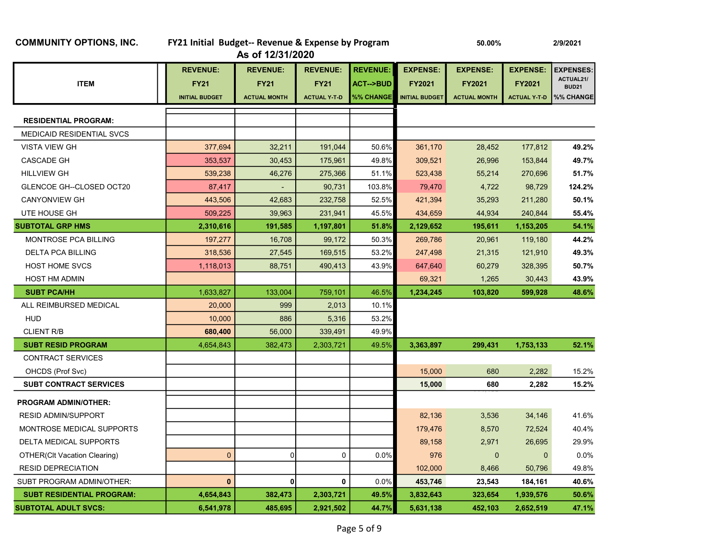| <b>COMMUNITY OPTIONS, INC.</b> |  |  |
|--------------------------------|--|--|
|--------------------------------|--|--|

CONTRACT SERVICES

PROGRAM ADMIN/OTHER:

| <b>COMMUNITY OPTIONS, INC.</b>   | FY21 Initial Budget-- Revenue & Expense by Program |                     |                     |                 | 50.00%                | 2/9/2021            |                     |                           |
|----------------------------------|----------------------------------------------------|---------------------|---------------------|-----------------|-----------------------|---------------------|---------------------|---------------------------|
|                                  |                                                    | As of 12/31/2020    |                     |                 |                       |                     |                     |                           |
|                                  | <b>REVENUE:</b>                                    | <b>REVENUE:</b>     | <b>REVENUE:</b>     | <b>REVENUE:</b> | <b>EXPENSE:</b>       | <b>EXPENSE:</b>     | <b>EXPENSE:</b>     | <b>EXPENSES:</b>          |
| <b>ITEM</b>                      | <b>FY21</b>                                        | <b>FY21</b>         | <b>FY21</b>         | ACT-->BUD       | <b>FY2021</b>         | <b>FY2021</b>       | <b>FY2021</b>       | ACTUAL21/<br><b>BUD21</b> |
|                                  | <b>INITIAL BUDGET</b>                              | <b>ACTUAL MONTH</b> | <b>ACTUAL Y T D</b> | %% CHANGE       | <b>INITIAL BUDGET</b> | <b>ACTUAL MONTH</b> | <b>ACTUAL Y T D</b> | %% CHANGE                 |
|                                  |                                                    |                     |                     |                 |                       |                     |                     |                           |
| <b>RESIDENTIAL PROGRAM:</b>      |                                                    |                     |                     |                 |                       |                     |                     |                           |
| <b>MEDICAID RESIDENTIAL SVCS</b> |                                                    |                     |                     |                 |                       |                     |                     |                           |
| <b>VISTA VIEW GH</b>             | 377,694                                            | 32,211              | 191,044             | 50.6%           | 361,170               | 28,452              | 177,812             | 49.2%                     |
| CASCADE GH                       | 353,537                                            | 30,453              | 175,961             | 49.8%           | 309,521               | 26,996              | 153,844             | 49.7%                     |
| <b>HILLVIEW GH</b>               | 539,238                                            | 46,276              | 275,366             | 51.1%           | 523,438               | 55,214              | 270,696             | 51.7%                     |
| GLENCOE GH--CLOSED OCT20         | 87,417                                             | ٠                   | 90,731              | 103.8%          | 79,470                | 4,722               | 98,729              | 124.2%                    |
| <b>CANYONVIEW GH</b>             | 443,506                                            | 42,683              | 232,758             | 52.5%           | 421,394               | 35,293              | 211,280             | 50.1%                     |
| UTE HOUSE GH                     | 509,225                                            | 39,963              | 231,941             | 45.5%           | 434,659               | 44,934              | 240,844             | 55.4%                     |
| <b>SUBTOTAL GRP HMS</b>          | 2,310,616                                          | 191,585             | 1,197,801           | 51.8%           | 2,129,652             | 195,611             | 1,153,205           | 54.1%                     |

MONTROSE PCA BILLING **197,277** 16,708 99,172 50.3% 269,786 20,961 119,180 44.2% DELTA PCA BILLING 318,536 27,545 169,515 53.2% 247,498 21,315 121,910 49.3% HOST HOME SVCS 1,118,013 88,751 490,413 43.9% 647,640 60,279 328,395 50.7% HOST HM ADMIN **1.265 20,443 1.265 43.9%**  $\texttt{SUBT~PCA/HH} \quad \texttt{3} \quad \texttt{1},633,827 \texttt{2} \quad \texttt{133,004} \quad \texttt{759,101} \quad \texttt{46.5\%} \quad \texttt{1,234,245} \quad \texttt{103,820} \quad \texttt{599,928} \quad \texttt{48.6\%}$ 

SUBT RESID PROGRAM **52.1%** 4,654,843 382,473 382,473 49.5% 3,363,897 299,431 1,753,133 52.1%

 OHCDS (Prof Svc) 15,000 680 2,282 15.2% SUBT CONTRACT SERVICES 15,000 680 2,282 15.2% 114,108

RESID ADMIN/SUPPORT **12.6 CONTROLLER SETTING A CONTROLLER SETTING A CONTROLLER SETTING A CONTROLLER SUPPORT** 41.6% MONTROSE MEDICAL SUPPORTS NEWSLET AND RELEASE AND RELEASE A LOCAL SUPPORTS NEWSLET AND RELEASE AND RELEASE AND DELTA MEDICAL SUPPORTS 89,158 2,971 26,695 29.9% OTHER(Clt Vacation Clearing) and the control of the control of the control of the control of the control of the control of the control of the control of the control of the control of the control of the control of the contr RESID DEPRECIATION 102,000 8,466 50,796 49.8% SUBT PROGRAM ADMIN/OTHER:  $\begin{vmatrix} 0 & 0 & 0 \end{vmatrix}$  0 0 0.0% 453,746 23,543 184,161 40.6% SUBT RESIDENTIAL PROGRAM: 4,654,843 382,473 2,303,721 49.5% 3,832,643 323,654 1,939,576 50.6% SUBTOTAL ADULT SVCS: 6,541,978 | 485,695 | 2,921,502 | 44.7% | 5,631,138 452,103 2,652,519 47.1%

ALL REIMBURSED MEDICAL **20,000** 20,000 999 2,013 10.1% HUD 10,000 886 5,316 53.2% CLIENT R/B 680,400 56,000 339,491 49.9%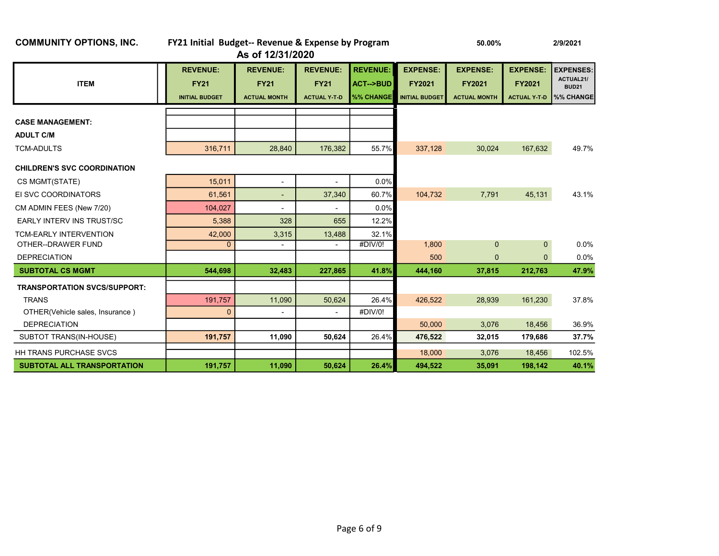| <b>COMMUNITY OPTIONS, INC.</b>      | FY21 Initial Budget-- Revenue & Expense by Program      | As of 12/31/2020                                      |                                                       |                                                     |                                                           | 50.00%                                                  |                                                         | 2/9/2021                                                   |  |
|-------------------------------------|---------------------------------------------------------|-------------------------------------------------------|-------------------------------------------------------|-----------------------------------------------------|-----------------------------------------------------------|---------------------------------------------------------|---------------------------------------------------------|------------------------------------------------------------|--|
| <b>ITEM</b>                         | <b>REVENUE:</b><br><b>FY21</b><br><b>INITIAL BUDGET</b> | <b>REVENUE:</b><br><b>FY21</b><br><b>ACTUAL MONTH</b> | <b>REVENUE:</b><br><b>FY21</b><br><b>ACTUAL Y T D</b> | <b>REVENUE:</b><br><b>ACT--&gt;BUD</b><br>%% CHANGE | <b>EXPENSE:</b><br><b>FY2021</b><br><b>INITIAL BUDGET</b> | <b>EXPENSE:</b><br><b>FY2021</b><br><b>ACTUAL MONTH</b> | <b>EXPENSE:</b><br><b>FY2021</b><br><b>ACTUAL Y-T-D</b> | <b>EXPENSES:</b><br>ACTUAL21/<br><b>BUD21</b><br>%% CHANGE |  |
| <b>CASE MANAGEMENT:</b>             |                                                         |                                                       |                                                       |                                                     |                                                           |                                                         |                                                         |                                                            |  |
| <b>ADULT C/M</b>                    |                                                         |                                                       |                                                       |                                                     |                                                           |                                                         |                                                         |                                                            |  |
| <b>TCM-ADULTS</b>                   | 316,711                                                 | 28,840                                                | 176,382                                               | 55.7%                                               | 337,128                                                   | 30,024                                                  | 167,632                                                 | 49.7%                                                      |  |
| <b>CHILDREN'S SVC COORDINATION</b>  |                                                         |                                                       |                                                       |                                                     |                                                           |                                                         |                                                         |                                                            |  |
| CS MGMT(STATE)                      | 15,011                                                  | $\overline{\phantom{a}}$                              | $\overline{\phantom{a}}$                              | 0.0%                                                |                                                           |                                                         |                                                         |                                                            |  |
| EI SVC COORDINATORS                 | 61,561                                                  | $\overline{\phantom{a}}$                              | 37,340                                                | 60.7%                                               | 104,732                                                   | 7,791                                                   | 45,131                                                  | 43.1%                                                      |  |
| CM ADMIN FEES (New 7/20)            | 104.027                                                 | $\overline{\phantom{a}}$                              |                                                       | 0.0%                                                |                                                           |                                                         |                                                         |                                                            |  |
| <b>EARLY INTERV INS TRUST/SC</b>    | 5,388                                                   | 328                                                   | 655                                                   | 12.2%                                               |                                                           |                                                         |                                                         |                                                            |  |
| <b>TCM-EARLY INTERVENTION</b>       | 42,000                                                  | 3,315                                                 | 13,488                                                | 32.1%                                               |                                                           |                                                         |                                                         |                                                            |  |
| OTHER--DRAWER FUND                  | $\Omega$                                                | $\blacksquare$                                        | ٠                                                     | #DIV/0!                                             | 1,800                                                     | $\mathbf{0}$                                            | $\mathbf{0}$                                            | 0.0%                                                       |  |
| <b>DEPRECIATION</b>                 |                                                         |                                                       |                                                       |                                                     | 500                                                       | $\mathbf{0}$                                            | $\Omega$                                                | 0.0%                                                       |  |
| <b>SUBTOTAL CS MGMT</b>             | 544.698                                                 | 32,483                                                | 227,865                                               | 41.8%                                               | 444,160                                                   | 37,815                                                  | 212,763                                                 | 47.9%                                                      |  |
| <b>TRANSPORTATION SVCS/SUPPORT:</b> |                                                         |                                                       |                                                       |                                                     |                                                           |                                                         |                                                         |                                                            |  |
| <b>TRANS</b>                        | 191,757                                                 | 11,090                                                | 50,624                                                | 26.4%                                               | 426,522                                                   | 28,939                                                  | 161,230                                                 | 37.8%                                                      |  |
| OTHER(Vehicle sales, Insurance)     | $\overline{0}$                                          |                                                       |                                                       | #DIV/0!                                             |                                                           |                                                         |                                                         |                                                            |  |
| <b>DEPRECIATION</b>                 |                                                         |                                                       |                                                       |                                                     | 50,000                                                    | 3,076                                                   | 18,456                                                  | 36.9%                                                      |  |
| SUBTOT TRANS(IN-HOUSE)              | 191,757                                                 | 11,090                                                | 50,624                                                | 26.4%                                               | 476,522                                                   | 32,015                                                  | 179,686                                                 | 37.7%                                                      |  |
| <b>HH TRANS PURCHASE SVCS</b>       |                                                         |                                                       |                                                       |                                                     | 18,000                                                    | 3.076                                                   | 18,456                                                  | 102.5%                                                     |  |
| <b>SUBTOTAL ALL TRANSPORTATION</b>  | 191,757                                                 | 11,090                                                | 50,624                                                | 26.4%                                               | 494,522                                                   | 35,091                                                  | 198,142                                                 | 40.1%                                                      |  |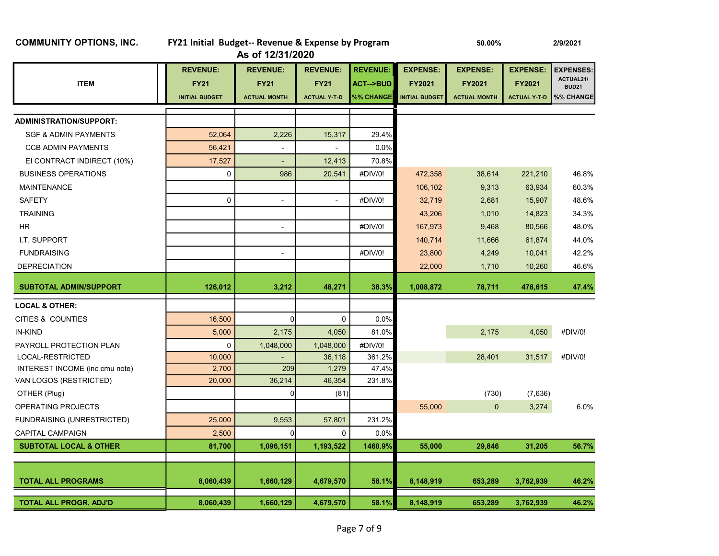|                                   |                       | As of 12/31/2020         |                     |                     |                       |                     |                     |                           |  |  |
|-----------------------------------|-----------------------|--------------------------|---------------------|---------------------|-----------------------|---------------------|---------------------|---------------------------|--|--|
|                                   | <b>REVENUE:</b>       | <b>REVENUE:</b>          | <b>REVENUE:</b>     | <b>REVENUE:</b>     | <b>EXPENSE:</b>       | <b>EXPENSE:</b>     | <b>EXPENSE:</b>     | <b>EXPENSES:</b>          |  |  |
| <b>ITEM</b>                       | <b>FY21</b>           | <b>FY21</b>              | <b>FY21</b>         | <b>ACT--&gt;BUD</b> | FY2021                | FY2021              | FY2021              | ACTUAL21/<br><b>BUD21</b> |  |  |
|                                   | <b>INITIAL BUDGET</b> | <b>ACTUAL MONTH</b>      | <b>ACTUAL Y T D</b> | <b>%% CHANGE</b>    | <b>INITIAL BUDGET</b> | <b>ACTUAL MONTH</b> | <b>ACTUAL Y T D</b> | %% CHANGE                 |  |  |
|                                   |                       |                          |                     |                     |                       |                     |                     |                           |  |  |
| <b>ADMINISTRATION/SUPPORT:</b>    |                       |                          |                     |                     |                       |                     |                     |                           |  |  |
| <b>SGF &amp; ADMIN PAYMENTS</b>   | 52,064                | 2,226                    | 15,317              | 29.4%               |                       |                     |                     |                           |  |  |
| <b>CCB ADMIN PAYMENTS</b>         | 56,421                | $\blacksquare$           | $\overline{a}$      | 0.0%                |                       |                     |                     |                           |  |  |
| EI CONTRACT INDIRECT (10%)        | 17,527                | $\blacksquare$           | 12,413              | 70.8%               |                       |                     |                     |                           |  |  |
| <b>BUSINESS OPERATIONS</b>        | $\mathbf 0$           | 986                      | 20,541              | #DIV/0!             | 472,358               | 38,614              | 221,210             | 46.8%                     |  |  |
| <b>MAINTENANCE</b>                |                       |                          |                     |                     | 106,102               | 9,313               | 63,934              | 60.3%                     |  |  |
| <b>SAFETY</b>                     | $\mathbf 0$           | $\overline{\phantom{a}}$ |                     | #DIV/0!             | 32,719                | 2,681               | 15,907              | 48.6%                     |  |  |
| <b>TRAINING</b>                   |                       |                          |                     |                     | 43,206                | 1,010               | 14,823              | 34.3%                     |  |  |
| HR.                               |                       | $\overline{\phantom{m}}$ |                     | #DIV/0!             | 167,973               | 9,468               | 80,566              | 48.0%                     |  |  |
| I.T. SUPPORT                      |                       |                          |                     |                     | 140,714               | 11,666              | 61,874              | 44.0%                     |  |  |
| <b>FUNDRAISING</b>                |                       | $\blacksquare$           |                     | #DIV/0!             | 23,800                | 4,249               | 10,041              | 42.2%                     |  |  |
| <b>DEPRECIATION</b>               |                       |                          |                     |                     | 22,000                | 1,710               | 10,260              | 46.6%                     |  |  |
| <b>SUBTOTAL ADMIN/SUPPORT</b>     | 126,012               | 3,212                    | 48,271              | 38.3%               | 1,008,872             | 78,711              | 478,615             | 47.4%                     |  |  |
| <b>LOCAL &amp; OTHER:</b>         |                       |                          |                     |                     |                       |                     |                     |                           |  |  |
| CITIES & COUNTIES                 | 16,500                | 0                        | 0                   | 0.0%                |                       |                     |                     |                           |  |  |
| IN-KIND                           | 5,000                 | 2,175                    | 4,050               | 81.0%               |                       | 2,175               | 4,050               | #DIV/0!                   |  |  |
| PAYROLL PROTECTION PLAN           | $\mathbf 0$           | 1,048,000                | 1,048,000           | #DIV/0!             |                       |                     |                     |                           |  |  |
| LOCAL-RESTRICTED                  | 10,000                |                          | 36,118              | 361.2%              |                       | 28,401              | 31,517              | #DIV/0!                   |  |  |
| INTEREST INCOME (inc cmu note)    | 2,700                 | 209                      | 1,279               | 47.4%               |                       |                     |                     |                           |  |  |
| VAN LOGOS (RESTRICTED)            | 20,000                | 36,214                   | 46,354              | 231.8%              |                       |                     |                     |                           |  |  |
| OTHER (Plug)                      |                       | n                        | (81)                |                     |                       | (730)               | (7,636)             |                           |  |  |
| OPERATING PROJECTS                |                       |                          |                     |                     | 55,000                | 0                   | 3,274               | 6.0%                      |  |  |
| <b>FUNDRAISING (UNRESTRICTED)</b> | 25,000                | 9,553                    | 57,801              | 231.2%              |                       |                     |                     |                           |  |  |
| <b>CAPITAL CAMPAIGN</b>           | 2,500                 | n                        | 0                   | 0.0%                |                       |                     |                     |                           |  |  |
| <b>SUBTOTAL LOCAL &amp; OTHER</b> | 81,700                | 1,096,151                | 1,193,522           | 1460.9%             | 55,000                | 29,846              | 31,205              | 56.7%                     |  |  |
|                                   |                       |                          |                     |                     |                       |                     |                     |                           |  |  |
| <b>TOTAL ALL PROGRAMS</b>         | 8,060,439             | 1,660,129                | 4,679,570           | 58.1%               | 8,148,919             | 653,289             | 3,762,939           | 46.2%                     |  |  |
| <b>TOTAL ALL PROGR, ADJ'D</b>     | 8,060,439             | 1,660,129                | 4,679,570           | 58.1%               | 8,148,919             | 653,289             | 3,762,939           | 46.2%                     |  |  |

### COMMUNITY OPTIONS, INC. FY21 Initial Budget-- Revenue & Expense by Program 50.00% 2/9/2021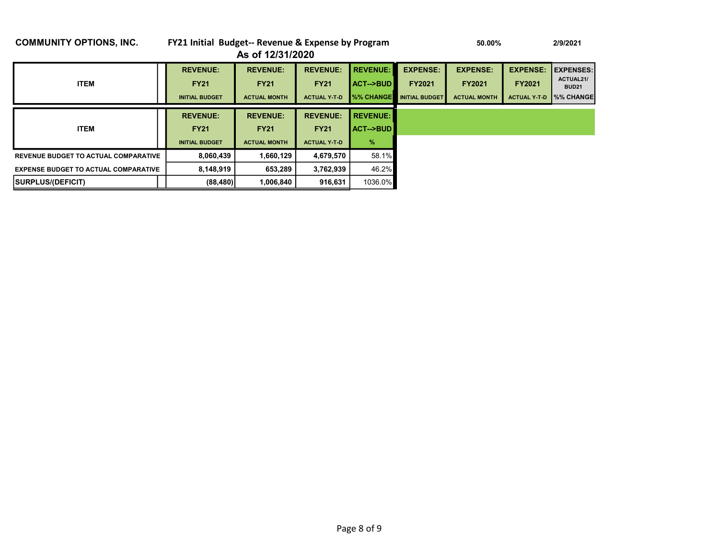### COMMUNITY OPTIONS, INC. FY21 Initial Budget-- Revenue & Expense by Program 50.00% 50.00% 2/9/2021 As of 12/31/2020 REVENUE: REVENUE: REVENUE: REVENUE: EXPENSE: EXPENSE: EXPENSE: EXPENSES: ITEM FY21 FY21 FY21 ACT-->BUD FY2021 FY2021 FY2021 ACTUAL21/ BUD21 INITIAL BUDGET ACTUAL MONTH ACTUAL Y-T-D %% CHANGE INITIAL BUDGET ACTUAL MONTH ACTUAL Y-T-D %% CHANGE REVENUE: REVENUE: REVENUE: REVENUE: ITEM FY21 FY21 FY21 ACT-->BUD INITIAL BUDGET ACTUAL MONTH ACTUAL Y-T-D %

REVENUE BUDGET TO ACTUAL COMPARATIVE  $\begin{vmatrix} 8,060,439 & 1,660,129 & 4,679,570 & 58.1\% \end{vmatrix}$ EXPENSE BUDGET TO ACTUAL COMPARATIVE  $\begin{vmatrix} 8,148,919 \end{vmatrix}$  653,289  $\begin{vmatrix} 3,762,939 \end{vmatrix}$  46.2% SURPLUS/(DEFICIT) (88,480) 1,006,840 916,631 1036.0%